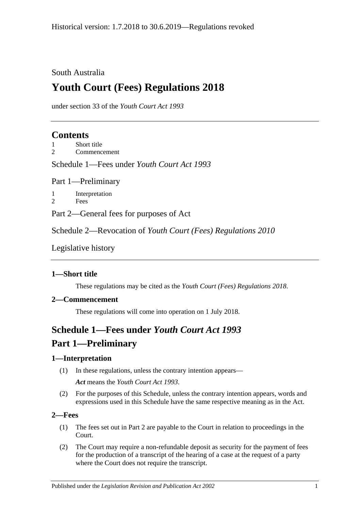## South Australia

# **Youth Court (Fees) Regulations 2018**

under section 33 of the *Youth Court Act 1993*

# **Contents**

1 [Short title](#page-0-0)

2 [Commencement](#page-0-1)

Schedule 1—Fees under *[Youth Court Act](#page-0-2) 1993*

Part 1—Preliminary

1 [Interpretation](#page-0-3) 2 [Fees](#page-0-4)

Part 2—General fees for purposes of Act

Schedule 2—Revocation of *[Youth Court \(Fees\) Regulations](#page-1-0) 2010*

[Legislative history](#page-2-0)

### <span id="page-0-0"></span>**1—Short title**

These regulations may be cited as the *Youth Court (Fees) Regulations 2018*.

#### <span id="page-0-1"></span>**2—Commencement**

These regulations will come into operation on 1 July 2018.

# <span id="page-0-2"></span>**Schedule 1—Fees under** *Youth Court Act 1993* **Part 1—Preliminary**

### <span id="page-0-3"></span>**1—Interpretation**

- (1) In these regulations, unless the contrary intention appears— *Act* means the *[Youth Court Act](http://www.legislation.sa.gov.au/index.aspx?action=legref&type=act&legtitle=Youth%20Court%20Act%201993) 1993*.
- (2) For the purposes of this Schedule, unless the contrary intention appears, words and expressions used in this Schedule have the same respective meaning as in the Act.

#### <span id="page-0-4"></span>**2—Fees**

- (1) The fees set out in Part 2 are payable to the Court in relation to proceedings in the Court.
- (2) The Court may require a non-refundable deposit as security for the payment of fees for the production of a transcript of the hearing of a case at the request of a party where the Court does not require the transcript.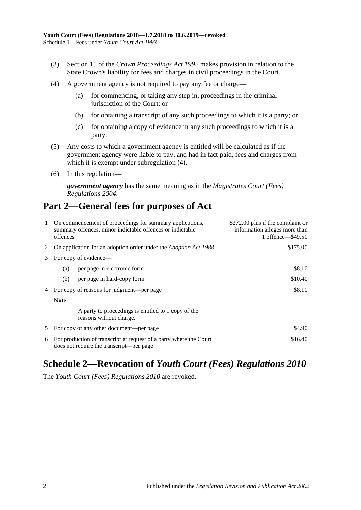- (3) Section 15 of the *[Crown Proceedings Act](http://www.legislation.sa.gov.au/index.aspx?action=legref&type=act&legtitle=Crown%20Proceedings%20Act%201992) 1992* makes provision in relation to the State Crown's liability for fees and charges in civil proceedings in the Court.
- <span id="page-1-1"></span>(4) A government agency is not required to pay any fee or charge—
	- (a) for commencing, or taking any step in, proceedings in the criminal jurisdiction of the Court; or
	- (b) for obtaining a transcript of any such proceedings to which it is a party; or
	- (c) for obtaining a copy of evidence in any such proceedings to which it is a party.
- (5) Any costs to which a government agency is entitled will be calculated as if the government agency were liable to pay, and had in fact paid, fees and charges from which it is exempt under [subregulation](#page-1-1)  $(4)$ .
- (6) In this regulation—

*government agency* has the same meaning as in the *[Magistrates Court \(Fees\)](http://www.legislation.sa.gov.au/index.aspx?action=legref&type=subordleg&legtitle=Magistrates%20Court%20(Fees)%20Regulations%202004)  [Regulations](http://www.legislation.sa.gov.au/index.aspx?action=legref&type=subordleg&legtitle=Magistrates%20Court%20(Fees)%20Regulations%202004) 2004*.

# **Part 2—General fees for purposes of Act**

| 1                          | On commencement of proceedings for summary applications,<br>summary offences, minor indictable offences or indictable<br>offences |                                                                                | \$272.00 plus if the complaint or<br>information alleges more than<br>1 offence - \$49.50 |
|----------------------------|-----------------------------------------------------------------------------------------------------------------------------------|--------------------------------------------------------------------------------|-------------------------------------------------------------------------------------------|
| 2                          |                                                                                                                                   | On application for an adoption order under the <i>Adoption Act</i> 1988        | \$175.00                                                                                  |
| For copy of evidence—<br>3 |                                                                                                                                   |                                                                                |                                                                                           |
|                            | (a)                                                                                                                               | per page in electronic form                                                    | \$8.10                                                                                    |
|                            | (b)                                                                                                                               | per page in hard-copy form                                                     | \$10.40                                                                                   |
| 4                          | For copy of reasons for judgment—per page                                                                                         |                                                                                | \$8.10                                                                                    |
| Note—                      |                                                                                                                                   |                                                                                |                                                                                           |
|                            |                                                                                                                                   | A party to proceedings is entitled to 1 copy of the<br>reasons without charge. |                                                                                           |
| 5                          |                                                                                                                                   | \$4.90<br>For copy of any other document—per page                              |                                                                                           |
| 6                          | \$16.40<br>For production of transcript at request of a party where the Court<br>does not require the transcript-per page         |                                                                                |                                                                                           |

# <span id="page-1-0"></span>**Schedule 2—Revocation of** *Youth Court (Fees) Regulations 2010*

The *[Youth Court \(Fees\) Regulations](http://www.legislation.sa.gov.au/index.aspx?action=legref&type=subordleg&legtitle=Youth%20Court%20(Fees)%20Regulations%202010) 2010* are revoked.